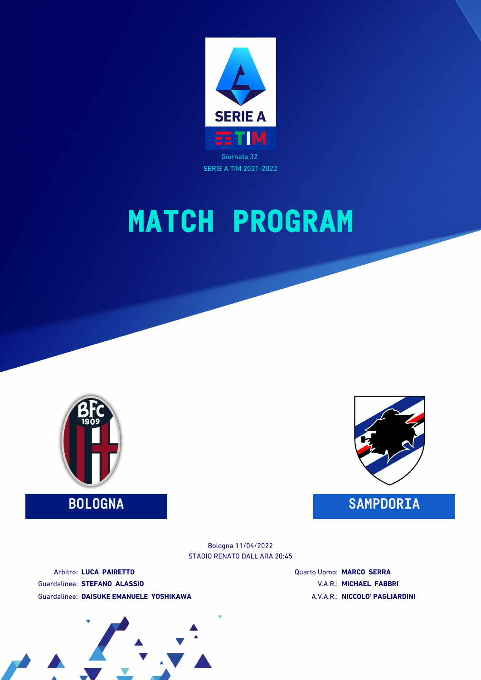



STADIO RENATO DALL'ARA 20:45 Bologna 11/04/2022

Arbitro: **LUCA PAIRETTO** Guardalinee: **STEFANO ALASSIO** Guardalinee: **DAISUKE EMANUELE YOSHIKAWA** Quarto Uomo: **MARCO SERRA** V.A.R.: **MICHAEL FABBRI** A.V.A.R.: **NICCOLO' PAGLIARDINI**

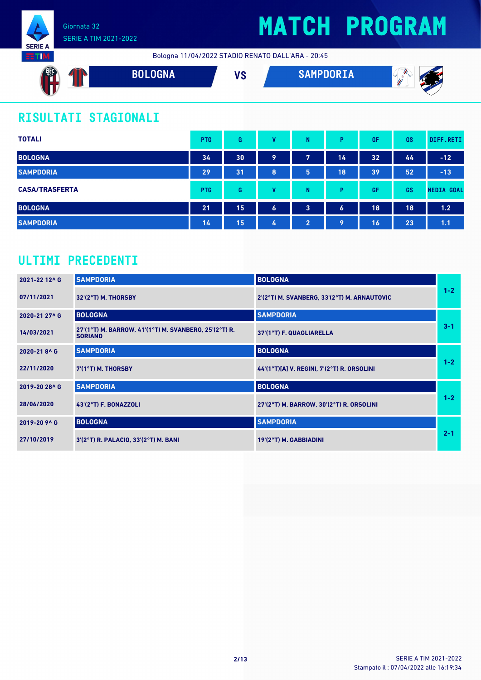

# **MATCH PROGRAM**

Bologna 11/04/2022 STADIO RENATO DALL'ARA - 20:45



### **RISULTATI STAGIONALI**

| <b>TOTALI</b>         | <b>PTG</b> | G  | v                | N                       | P.               | GF | <b>GS</b> | DIFF.RETI         |
|-----------------------|------------|----|------------------|-------------------------|------------------|----|-----------|-------------------|
| <b>BOLOGNA</b>        | 34         | 30 | 9                | 7                       | 14               | 32 | 44        | $-12$             |
| <b>SAMPDORIA</b>      | 29         | 31 | 8                | 5.                      | 18               | 39 | 52        | $-13$             |
| <b>CASA/TRASFERTA</b> | <b>PTG</b> | G  | v                | N                       | D                | GF | <b>GS</b> | <b>MEDIA GOAL</b> |
| <b>BOLOGNA</b>        | 21         | 15 | $\boldsymbol{6}$ | $\overline{\mathbf{3}}$ | $\boldsymbol{6}$ | 18 | 18        | 1.2               |
| <b>SAMPDORIA</b>      | 14         | 15 | 4                | 2                       | 9                | 16 | 23        | 1.1               |

### **ULTIMI PRECEDENTI**

| 2021-22 12^6  | <b>SAMPDORIA</b>                                                        | <b>BOLOGNA</b>                              |         |
|---------------|-------------------------------------------------------------------------|---------------------------------------------|---------|
| 07/11/2021    | $32'(2°T)$ M. THORSBY                                                   | 2'(2°T) M. SVANBERG, 33'(2°T) M. ARNAUTOVIC | $1 - 2$ |
| 2020-21 27^ G | <b>BOLOGNA</b>                                                          | <b>SAMPDORIA</b>                            |         |
| 14/03/2021    | 27'(1°T) M. BARROW, 41'(1°T) M. SVANBERG, 25'(2°T) R.<br><b>SORIANO</b> | 37'(1°T) F. QUAGLIARELLA                    | $3 - 1$ |
| 2020-218^G    | <b>SAMPDORIA</b>                                                        | <b>BOLOGNA</b>                              |         |
| 22/11/2020    | $7(1°T)$ M. THORSBY                                                     | 44'(1°T)[A] V. REGINI, 7'(2°T) R. ORSOLINI  | $1 - 2$ |
| 2019-20 28^ G | <b>SAMPDORIA</b>                                                        | <b>BOLOGNA</b>                              |         |
| 28/06/2020    | 43'(2°T) F. BONAZZOLI                                                   | 27'(2°T) M. BARROW, 30'(2°T) R. ORSOLINI    | $1 - 2$ |
| 2019-20 9^ G  | <b>BOLOGNA</b>                                                          | <b>SAMPDORIA</b>                            |         |
| 27/10/2019    | 3'(2°T) R. PALACIO, 33'(2°T) M. BANI                                    | 19'(2°T) M. GABBIADINI                      | $2 - 1$ |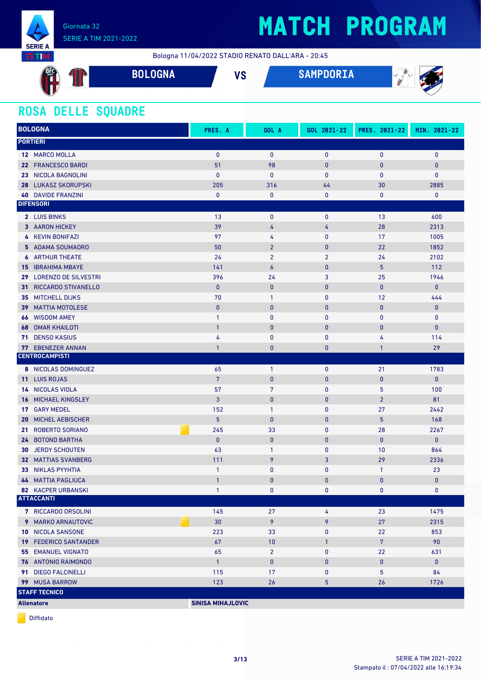

Bologna 11/04/2022 STADIO RENATO DALL'ARA - 20:45

| <b>AFC</b> | $\sim$<br>U | <b>BOLOGNA</b> | $\mathbf{u}$<br>70 | <b>SAMPDORIA</b> | W<br>-<br>m<br>W<br>w<br>,, |
|------------|-------------|----------------|--------------------|------------------|-----------------------------|
|            |             |                |                    |                  |                             |

### **ROSA DELLE SQUADRE**

| <b>BOLOGNA</b>                       | PRES. A                  | GOL A            | GOL 2021-22    | PRES. 2021-22  | MIN. 2021-22 |
|--------------------------------------|--------------------------|------------------|----------------|----------------|--------------|
| <b>PORTIERI</b>                      |                          |                  |                |                |              |
| 12 MARCO MOLLA                       | $\mathbf{0}$             | $\mathbf{0}$     | $\mathbf{0}$   | $\mathbf{0}$   | $\mathbf 0$  |
| 22 FRANCESCO BARDI                   | 51                       | 98               | $\mathbf{0}$   | $\bf{0}$       | $\mathbf{0}$ |
| <b>NICOLA BAGNOLINI</b><br>23.       | $\mathbf{0}$             | $\mathbf{0}$     | $\mathbf{0}$   | $\mathbf{0}$   | $\mathbf{0}$ |
| <b>28 LUKASZ SKORUPSKI</b>           | 205                      | 316              | 44             | 30             | 2885         |
| <b>40 DAVIDE FRANZINI</b>            | $\bf{0}$                 | 0                | 0              | $\mathbf 0$    | 0            |
| <b>DIFENSORI</b>                     |                          |                  |                |                |              |
| 2 LUIS BINKS                         | 13                       | 0                | $\mathbf 0$    | 13             | 600          |
| 3 AARON HICKEY                       | 39                       | 4                | 4              | 28             | 2313         |
| 4 KEVIN BONIFAZI                     | 97                       | 4                | $\pmb{0}$      | 17             | 1005         |
| 5 ADAMA SOUMAORO                     | 50                       | $\overline{2}$   | $\pmb{0}$      | 22             | 1852         |
| <b>6</b> ARTHUR THEATE               | 24                       | $\overline{2}$   | $\overline{2}$ | 24             | 2102         |
| <b>IBRAHIMA MBAYE</b><br>15          | 141                      | $\boldsymbol{6}$ | $\pmb{0}$      | 5              | 112          |
| 29 LORENZO DE SILVESTRI              | 396                      | 24               | 3              | 25             | 1946         |
| RICCARDO STIVANELLO<br>31            | $\mathbf{0}$             | $\mathbf{0}$     | $\mathbf{0}$   | $\mathbf{0}$   | $\mathbf{0}$ |
| <b>MITCHELL DIJKS</b><br>35          | 70                       | $\mathbf{1}$     | $\pmb{0}$      | 12             | 444          |
| <b>MATTIA MOTOLESE</b><br>39         | $\pmb{0}$                | $\bf{0}$         | $\bf{0}$       | $\bf{0}$       | $\bf{0}$     |
| <b>WISDOM AMEY</b><br>66             | $\mathbf{1}$             | 0                | 0              | 0              | $\mathbf 0$  |
| <b>OMAR KHAILOTI</b><br>68           | $\overline{1}$           | $\bf{0}$         | $\mathbf{0}$   | $\bf{0}$       | $\mathbf{0}$ |
| <b>DENSO KASIUS</b><br>71            | 4                        | $\bf{0}$         | $\pmb{0}$      | 4              | 114          |
| <b>EBENEZER ANNAN</b><br>77          | $\mathbf{1}$             | $\bf{0}$         | 0              | $\mathbf{1}$   | 29           |
| <b>CENTROCAMPISTI</b>                |                          |                  |                |                |              |
| 8 NICOLAS DOMINGUEZ                  | 65                       | $\mathbf{1}$     | $\pmb{0}$      | 21             | 1783         |
| <b>LUIS ROJAS</b><br>11 <sup>1</sup> | $7\overline{ }$          | $\mathbf{0}$     | $\mathbf{0}$   | $\mathbf{0}$   | $\mathbf{0}$ |
| NICOLAS VIOLA<br>14                  | 57                       | $\overline{7}$   | 0              | 5              | 100          |
| MICHAEL KINGSLEY<br>16               | 3                        | $\pmb{0}$        | $\mathbf{0}$   | $\overline{2}$ | 81           |
| <b>GARY MEDEL</b><br>17 <sup>7</sup> | 152                      | $\mathbf{1}$     | 0              | 27             | 2442         |
| <b>MICHEL AEBISCHER</b><br>20        | 5                        | $\mathbf 0$      | $\mathbf{0}$   | 5              | 168          |
| <b>ROBERTO SORIANO</b><br>21         | 245                      | 33               | 0              | 28             | 2267         |
| 24 BOTOND BARTHA                     | $\mathbf{0}$             | $\pmb{0}$        | $\pmb{0}$      | $\mathbf{0}$   | $\mathbf{0}$ |
| <b>JERDY SCHOUTEN</b><br>30          | 63                       | $\mathbf{1}$     | $\mathbf{0}$   | 10             | 864          |
| 32 MATTIAS SVANBERG                  | 111                      | 9                | 3              | 29             | 2336         |
| <b>NIKLAS PYYHTIA</b><br>33          | $\mathbf{1}$             | 0                | 0              | $\mathbf{1}$   | 23           |
| <b>44 MATTIA PAGLIUCA</b>            | $\mathbf{1}$             | $\mathbf{0}$     | $\mathbf{0}$   | $\mathbf{0}$   | $\mathbf{0}$ |
| <b>82 KACPER URBANSKI</b>            | $\mathbf{1}$             | 0                | $\mathbf 0$    | 0              | 0            |
| <b>ATTACCANTI</b>                    |                          |                  |                |                |              |
| 7 RICCARDO ORSOLINI                  | 145                      | 27               | 4              | 23             | 1475         |
| 9 MARKO ARNAUTOVIC                   | 30                       | 9                | 9              | 27             | 2315         |
| 10 NICOLA SANSONE                    | 223                      | 33               | 0              | 22             | 853          |
| <b>19 FEDERICO SANTANDER</b>         | 67                       | $10$             | $\mathbf{1}$   | $7\phantom{.}$ | 90           |
| <b>55 EMANUEL VIGNATO</b>            | 65                       | $\overline{2}$   | $\mathbf 0$    | 22             | 631          |
| <b>76 ANTONIO RAIMONDO</b>           | $\mathbf{1}$             | $\pmb{0}$        | 0              | $\pmb{0}$      | $\mathbf 0$  |
| 91 DIEGO FALCINELLI                  | 115                      | 17               | $\mathbf 0$    | 5              | 84           |
| 99 MUSA BARROW                       | 123                      | 26               | 5              | 26             | 1726         |
| <b>STAFF TECNICO</b>                 |                          |                  |                |                |              |
| <b>Allenatore</b>                    | <b>SINISA MIHAJLOVIC</b> |                  |                |                |              |

Diffidato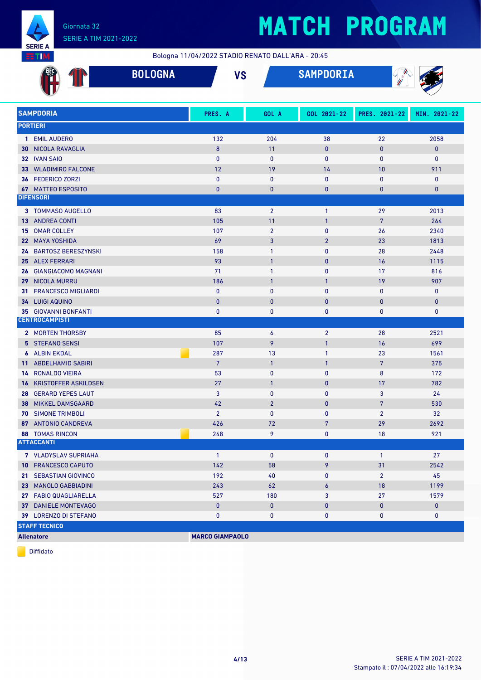

# **MATCH PROGRAM**

Bologna 11/04/2022 STADIO RENATO DALL'ARA - 20:45

|                   |                                                         | <b>BOLOGNA</b> | <b>VS</b>              |                          | <b>SAMPDORIA</b> | $\sqrt{\frac{1}{n}}$ |              |
|-------------------|---------------------------------------------------------|----------------|------------------------|--------------------------|------------------|----------------------|--------------|
|                   | <b>SAMPDORIA</b>                                        |                | PRES. A                | GOL A                    | GOL 2021-22      | PRES. 2021-22        | MIN. 2021-22 |
| <b>PORTIERI</b>   |                                                         |                |                        |                          |                  |                      |              |
|                   | 1 EMIL AUDERO                                           |                | 132                    | 204                      | 38               | 22                   | 2058         |
| 30                | NICOLA RAVAGLIA                                         |                | 8                      | 11                       | $\bf{0}$         | $\mathbf{0}$         | $\mathbf{0}$ |
|                   | 32 IVAN SAIO                                            |                | $\mathbf{0}$           | $\bf{0}$                 | 0                | $\mathbf{0}$         | 0            |
|                   | 33 WLADIMIRO FALCONE                                    |                | 12                     | 19                       | 14               | 10                   | 911          |
| 36                | <b>FEDERICO ZORZI</b>                                   |                | $\mathbf{0}$           | 0                        | 0                | $\mathbf{0}$         | $\bf{0}$     |
|                   | <b>67 MATTEO ESPOSITO</b>                               |                | $\bf{0}$               | $\mathbf{0}$             | 0                | $\bf{0}$             | $\pmb{0}$    |
| <b>DIFENSORI</b>  |                                                         |                |                        |                          |                  |                      |              |
|                   | 3 TOMMASO AUGELLO                                       |                | 83                     | $\overline{2}$           | $\mathbf{1}$     | 29                   | 2013         |
| 13                | <b>ANDREA CONTI</b>                                     |                | 105                    | 11                       | $\mathbf{1}$     | $\overline{7}$       | 264          |
| 15                | <b>OMAR COLLEY</b>                                      |                | 107                    | $\overline{2}$           | 0                | 26                   | 2340         |
|                   | 22 MAYA YOSHIDA                                         |                | 69                     | 3                        | $\overline{2}$   | 23                   | 1813         |
|                   | 24 BARTOSZ BERESZYNSKI                                  |                | 158                    | 1                        | 0                | 28                   | 2448         |
| 25                | <b>ALEX FERRARI</b>                                     |                | 93                     | $\mathbf{1}$             | 0                | 16                   | 1115         |
| 26                | <b>GIANGIACOMO MAGNANI</b>                              |                | 71                     | 1                        | 0                | 17                   | 816          |
| 29                | <b>NICOLA MURRU</b>                                     |                | 186                    | $\mathbf{1}$             | $\mathbf{1}$     | 19                   | 907          |
| 31                | <b>FRANCESCO MIGLIARDI</b>                              |                | $\mathbf{0}$           | $\mathbf{0}$             | 0                | $\mathbf{0}$         | $\bf{0}$     |
| 34                | <b>LUIGI AQUINO</b>                                     |                | $\mathbf{0}$           | $\mathbf 0$              | 0                | $\bf{0}$             | $\mathbf{0}$ |
|                   | <b>35 GIOVANNI BONFANTI</b><br><b>CENTROCAMPISTI</b>    |                | $\mathbf{0}$           | 0                        | 0                | $\mathbf 0$          | $\bf{0}$     |
|                   |                                                         |                |                        |                          |                  |                      |              |
|                   | 2 MORTEN THORSBY                                        |                | 85                     | 6                        | $\overline{2}$   | 28                   | 2521         |
|                   | 5 STEFANO SENSI                                         |                | 107                    | 9                        | $\mathbf{1}$     | 16                   | 699          |
| 6                 | <b>ALBIN EKDAL</b>                                      |                | 287                    | 13                       | 1                | 23                   | 1561         |
| 11 <sup>1</sup>   | <b>ABDELHAMID SABIRI</b>                                |                | $\overline{7}$         | $\mathbf{1}$             | $\mathbf{1}$     | $\overline{7}$       | 375          |
| 14                | <b>RONALDO VIEIRA</b>                                   |                | 53<br>27               | $\mathbf 0$              | 0                | 8<br>17              | 172          |
| 16<br>28          | <b>KRISTOFFER ASKILDSEN</b><br><b>GERARD YEPES LAUT</b> |                | 3                      | $\mathbf{1}$<br>$\bf{0}$ | 0<br>0           | 3                    | 782<br>24    |
| 38                | <b>MIKKEL DAMSGAARD</b>                                 |                | 42                     | $\overline{2}$           | 0                | $\overline{7}$       | 530          |
|                   | <b>70 SIMONE TRIMBOLI</b>                               |                | $\overline{2}$         | $\mathbf{0}$             | 0                | $\overline{2}$       | 32           |
|                   | 87 ANTONIO CANDREVA                                     |                | 426                    | 72                       | $\overline{7}$   | 29                   | 2692         |
|                   | <b>88 TOMAS RINCON</b>                                  |                | 248                    | 9                        | 0                | 18                   | 921          |
|                   | <b>ATTACCANTI</b>                                       |                |                        |                          |                  |                      |              |
|                   | 7 VLADYSLAV SUPRIAHA                                    |                | $\mathbf{1}$           | $\mathbf 0$              | 0                | $\mathbf{1}$         | 27           |
|                   | 10 FRANCESCO CAPUTO                                     |                | 142                    | 58                       | 9                | 31                   | 2542         |
|                   | 21 SEBASTIAN GIOVINCO                                   |                | 192                    | 40                       | 0                | $\overline{2}$       | 45           |
|                   | 23 MANOLO GABBIADINI                                    |                | 243                    | 62                       | 6                | 18                   | 1199         |
|                   | 27 FABIO QUAGLIARELLA                                   |                | 527                    | 180                      | 3                | 27                   | 1579         |
|                   | 37 DANIELE MONTEVAGO                                    |                | $\pmb{0}$              | $\pmb{0}$                | 0                | 0                    | $\pmb{0}$    |
|                   | 39 LORENZO DI STEFANO                                   |                | 0                      | 0                        | 0                | 0                    | 0            |
|                   | <b>STAFF TECNICO</b>                                    |                |                        |                          |                  |                      |              |
| <b>Allenatore</b> |                                                         |                | <b>MARCO GIAMPAOLO</b> |                          |                  |                      |              |

Diffidato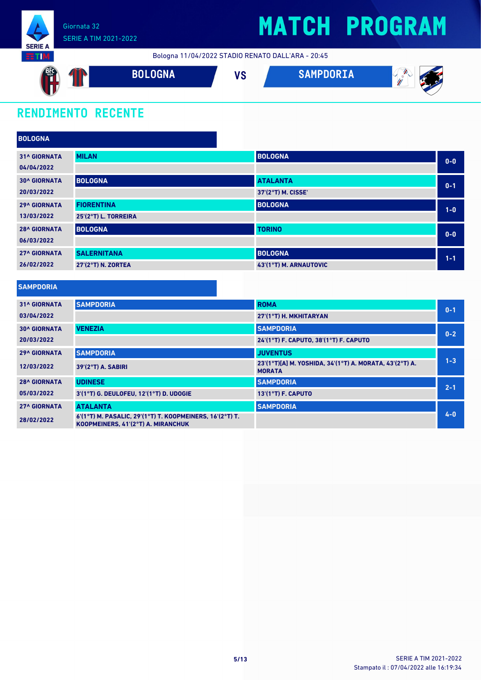

## **MATCH PROGRAM**

Bologna 11/04/2022 STADIO RENATO DALL'ARA - 20:45



### **RENDIMENTO RECENTE**

| <b>BOLOGNA</b>      |                      |                        |         |
|---------------------|----------------------|------------------------|---------|
| <b>31^ GIORNATA</b> | <b>MILAN</b>         | <b>BOLOGNA</b>         | $0 - 0$ |
| 04/04/2022          |                      |                        |         |
| <b>30^ GIORNATA</b> | <b>BOLOGNA</b>       | <b>ATALANTA</b>        | $0 - 1$ |
| 20/03/2022          |                      | 37'(2°T) M. CISSE'     |         |
| <b>29^ GIORNATA</b> | <b>FIORENTINA</b>    | <b>BOLOGNA</b>         | $1-0$   |
| 13/03/2022          | 25'(2°T) L. TORREIRA |                        |         |
| <b>28^ GIORNATA</b> | <b>BOLOGNA</b>       | <b>TORINO</b>          | $0 - 0$ |
| 06/03/2022          |                      |                        |         |
| <b>27^ GIORNATA</b> | <b>SALERNITANA</b>   | <b>BOLOGNA</b>         | $1 - 1$ |
| 26/02/2022          | 27'(2°T) N. ZORTEA   | 43'(1°T) M. ARNAUTOVIC |         |

| <b>SAMPDORIA</b>    |                                                                                                |                                                                          |         |
|---------------------|------------------------------------------------------------------------------------------------|--------------------------------------------------------------------------|---------|
| <b>31^ GIORNATA</b> | <b>SAMPDORIA</b>                                                                               | <b>ROMA</b>                                                              | $0 - 1$ |
| 03/04/2022          |                                                                                                | 27'(1°T) H. MKHITARYAN                                                   |         |
| <b>30^ GIORNATA</b> | <b>VENEZIA</b>                                                                                 | <b>SAMPDORIA</b>                                                         | $0 - 2$ |
| 20/03/2022          |                                                                                                | 24'(1°T) F. CAPUTO, 38'(1°T) F. CAPUTO                                   |         |
| <b>29^ GIORNATA</b> | <b>SAMPDORIA</b>                                                                               | <b>JUVENTUS</b>                                                          |         |
| 12/03/2022          | $39'(2°T)$ A. SABIRI                                                                           | 23'(1°T)[A] M. YOSHIDA, 34'(1°T) A. MORATA, 43'(2°T) A.<br><b>MORATA</b> | $1 - 3$ |
| <b>28^ GIORNATA</b> | <b>UDINESE</b>                                                                                 | <b>SAMPDORIA</b>                                                         | $2 - 1$ |
| 05/03/2022          | 3'(1°T) G. DEULOFEU. 12'(1°T) D. UDOGIE                                                        | 13'(1°T) F. CAPUTO                                                       |         |
| <b>27^ GIORNATA</b> | <b>ATALANTA</b>                                                                                | <b>SAMPDORIA</b>                                                         |         |
| 28/02/2022          | 6'(1°T) M. PASALIC, 29'(1°T) T. KOOPMEINERS, 16'(2°T) T.<br>KOOPMEINERS, 41'(2°T) A. MIRANCHUK |                                                                          | $4 - 0$ |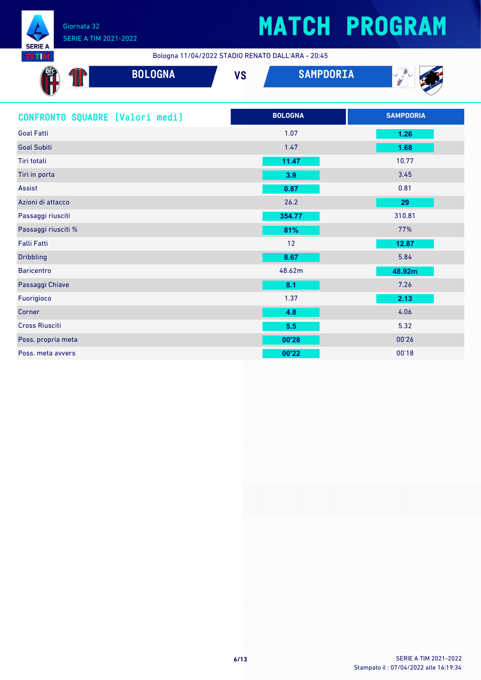

Bologna 11/04/2022 STADIO RENATO DALL'ARA - 20:45

| <b>BOLOGNA</b>                  | <b>SAMPDORIA</b><br><b>VS</b> | C. Company       |
|---------------------------------|-------------------------------|------------------|
| CONFRONTO SQUADRE (Valori medi) | <b>BOLOGNA</b>                | <b>SAMPDORIA</b> |
| <b>Goal Fatti</b>               | 1.07                          | 1.26             |
| <b>Goal Subiti</b>              | 1.47                          | 1.68             |
| Tiri totali                     | 11.47                         | 10.77            |
| Tiri in porta                   | 3.9                           | 3.45             |
| Assist                          | 0.87                          | 0.81             |
| Azioni di attacco               | 26.2                          | 29               |
| Passaggi riusciti               | 354.77                        | 310.81           |
| Passaggi riusciti %             | 81%                           | 77%              |
| Falli Fatti                     | 12                            | 12.87            |
| <b>Dribbling</b>                | 8.67                          | 5.84             |
| <b>Baricentro</b>               | 48.62m                        | 48.92m           |
| Passaggi Chiave                 | 8.1                           | 7.26             |
| Fuorigioco                      | 1.37                          | 2.13             |
| Corner                          | 4.8                           | 4.06             |
| <b>Cross Riusciti</b>           | 5.5                           | 5.32             |
| Poss. propria meta              | 00'28                         | 00'26            |
| Poss, meta avvers               | 00'22                         | 00'18            |
|                                 |                               |                  |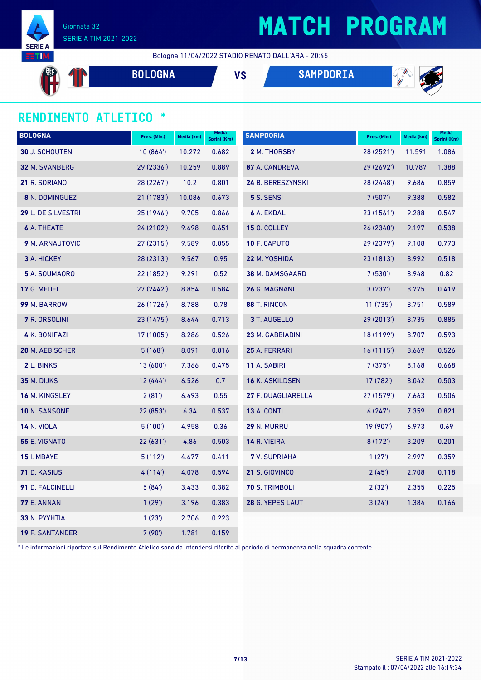

## **MATCH PROGRAM**

Bologna 11/04/2022 STADIO RENATO DALL'ARA - 20:45

 $\mathbb T$ 

**BOLOGNA VS SAMPDORIA**



### **RENDIMENTO ATLETICO \***

| <b>BOLOGNA</b>         | Pres. (Min.) | Media (km) | <b>Media</b><br>Sprint (Km) | <b>SAMPDORIA</b>       | Pres. (Min.) | Media (km) | <b>Media</b><br><b>Sprint (Km)</b> |
|------------------------|--------------|------------|-----------------------------|------------------------|--------------|------------|------------------------------------|
| <b>30 J. SCHOUTEN</b>  | 10(864)      | 10.272     | 0.682                       | 2 M. THORSBY           | 28 (2521')   | 11.591     | 1.086                              |
| 32 M. SVANBERG         | 29 (2336')   | 10.259     | 0.889                       | 87 A. CANDREVA         | 29 (2692')   | 10.787     | 1.388                              |
| 21 R. SORIANO          | 28 (2267')   | 10.2       | 0.801                       | 24 B. BERESZYNSKI      | 28 (2448')   | 9.686      | 0.859                              |
| 8 N. DOMINGUEZ         | 21 (1783')   | 10.086     | 0.673                       | 5 S. SENSI             | 7(507)       | 9.388      | 0.582                              |
| 29 L. DE SILVESTRI     | 25 (1946')   | 9.705      | 0.866                       | <b>6 A. EKDAL</b>      | 23 (1561')   | 9.288      | 0.547                              |
| <b>6</b> A. THEATE     | 24 (2102')   | 9.698      | 0.651                       | <b>15 O. COLLEY</b>    | 26 (2340')   | 9.197      | 0.538                              |
| 9 M. ARNAUTOVIC        | 27 (2315')   | 9.589      | 0.855                       | 10 F. CAPUTO           | 29 (2379')   | 9.108      | 0.773                              |
| <b>3</b> A. HICKEY     | 28 (2313')   | 9.567      | 0.95                        | 22 M. YOSHIDA          | 23(1813)     | 8.992      | 0.518                              |
| 5 A. SOUMAORO          | 22 (1852')   | 9.291      | 0.52                        | <b>38 M. DAMSGAARD</b> | 7(530)       | 8.948      | 0.82                               |
| 17 G. MEDEL            | 27(2442)     | 8.854      | 0.584                       | 26 G. MAGNANI          | 3(237)       | 8.775      | 0.419                              |
| 99 M. BARROW           | 26 (1726')   | 8.788      | 0.78                        | 88 T. RINCON           | 11(735)      | 8.751      | 0.589                              |
| 7 R. ORSOLINI          | 23 (1475')   | 8.644      | 0.713                       | 3 T. AUGELLO           | 29(2013)     | 8.735      | 0.885                              |
| 4 K. BONIFAZI          | 17 (1005')   | 8.286      | 0.526                       | 23 M. GABBIADINI       | 18 (1199')   | 8.707      | 0.593                              |
| <b>20 M. AEBISCHER</b> | 5(168)       | 8.091      | 0.816                       | 25 A. FERRARI          | 16(1115)     | 8.669      | 0.526                              |
| 2 L. BINKS             | 13(600)      | 7.366      | 0.475                       | 11 A. SABIRI           | 7(375)       | 8.168      | 0.668                              |
| 35 M. DIJKS            | 12(444)      | 6.526      | 0.7                         | 16 K. ASKILDSEN        | 17 (782')    | 8.042      | 0.503                              |
| <b>16 M. KINGSLEY</b>  | 2(81')       | 6.493      | 0.55                        | 27 F. QUAGLIARELLA     | 27 (1579')   | 7.663      | 0.506                              |
| 10 N. SANSONE          | 22(853)      | 6.34       | 0.537                       | <b>13 A. CONTI</b>     | 6(247)       | 7.359      | 0.821                              |
| <b>14 N. VIOLA</b>     | 5(100)       | 4.958      | 0.36                        | 29 N. MURRU            | 19 (907')    | 6.973      | 0.69                               |
| 55 E. VIGNATO          | 22 (631')    | 4.86       | 0.503                       | 14 R. VIEIRA           | 8(172)       | 3.209      | 0.201                              |
| <b>15</b> I. MBAYE     | 5(112)       | 4.677      | 0.411                       | <b>7</b> V. SUPRIAHA   | 1(27)        | 2.997      | 0.359                              |
| 71 D. KASIUS           | 4(114)       | 4.078      | 0.594                       | 21 S. GIOVINCO         | 2(45)        | 2.708      | 0.118                              |
| 91 D. FALCINELLI       | 5(84)        | 3.433      | 0.382                       | 70 S. TRIMBOLI         | 2(32')       | 2.355      | 0.225                              |
| <b>77 E. ANNAN</b>     | 1(29)        | 3.196      | 0.383                       | 28 G. YEPES LAUT       | 3(24)        | 1.384      | 0.166                              |
| 33 N. PYYHTIA          | 1(23')       | 2.706      | 0.223                       |                        |              |            |                                    |
| <b>19 F. SANTANDER</b> | 7(90)        | 1.781      | 0.159                       |                        |              |            |                                    |

\* Le informazioni riportate sul Rendimento Atletico sono da intendersi riferite al periodo di permanenza nella squadra corrente.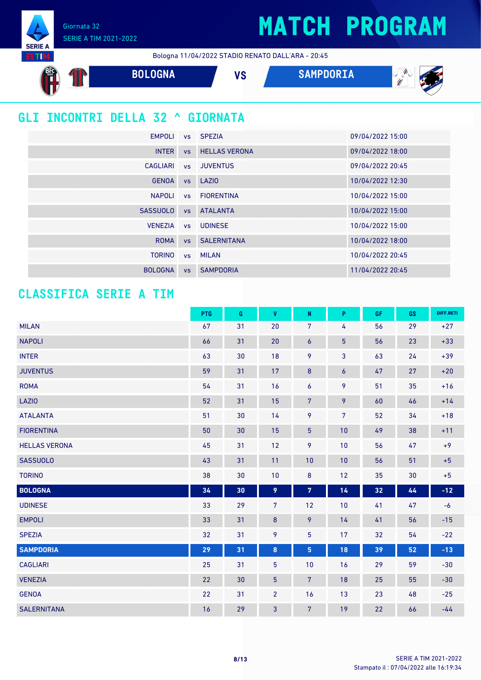Giornata 32 SERIE A TIM 2021-2022

**SERIE A** 

Bologna 11/04/2022 STADIO RENATO DALL'ARA - 20:45



### **GLI INCONTRI DELLA 32 ^ GIORNATA**

| <b>EMPOLI</b>   |           | vs SPEZIA             | 09/04/2022 15:00 |
|-----------------|-----------|-----------------------|------------------|
| <b>INTER</b>    | VS        | <b>HELLAS VERONA</b>  | 09/04/2022 18:00 |
| CAGLIARI        | VS        | <b>JUVENTUS</b>       | 09/04/2022 20:45 |
| <b>GENOA</b>    |           | vs LAZIO              | 10/04/2022 12:30 |
| <b>NAPOLI</b>   |           | vs FIORENTINA         | 10/04/2022 15:00 |
| <b>SASSUOLO</b> | <b>VS</b> | <b>ATALANTA</b>       | 10/04/2022 15:00 |
| <b>VENEZIA</b>  | VS        | <b>UDINESE</b>        | 10/04/2022 15:00 |
| <b>ROMA</b>     |           | <b>vs</b> SALERNITANA | 10/04/2022 18:00 |
| <b>TORINO</b>   |           | vs MILAN              | 10/04/2022 20:45 |
| <b>BOLOGNA</b>  | <b>VS</b> | <b>SAMPDORIA</b>      | 11/04/2022 20:45 |

### **CLASSIFICA SERIE A TIM**

|                      | PTG | G  | V              | ${\sf N}$        | P               | GF | GS | DIFF.RETI |
|----------------------|-----|----|----------------|------------------|-----------------|----|----|-----------|
| <b>MILAN</b>         | 67  | 31 | 20             | 7                | 4               | 56 | 29 | $+27$     |
| <b>NAPOLI</b>        | 66  | 31 | 20             | 6                | $\overline{5}$  | 56 | 23 | $+33$     |
| <b>INTER</b>         | 63  | 30 | 18             | 9                | 3               | 63 | 24 | $+39$     |
| <b>JUVENTUS</b>      | 59  | 31 | 17             | $\boldsymbol{8}$ | 6               | 47 | 27 | $+20$     |
| <b>ROMA</b>          | 54  | 31 | 16             | 6                | 9               | 51 | 35 | $+16$     |
| <b>LAZIO</b>         | 52  | 31 | 15             | $\overline{7}$   | 9               | 60 | 46 | $+14$     |
| <b>ATALANTA</b>      | 51  | 30 | 14             | 9                | $7\overline{ }$ | 52 | 34 | $+18$     |
| <b>FIORENTINA</b>    | 50  | 30 | 15             | $\overline{5}$   | 10              | 49 | 38 | $+11$     |
| <b>HELLAS VERONA</b> | 45  | 31 | 12             | 9                | 10              | 56 | 47 | $+9$      |
| <b>SASSUOLO</b>      | 43  | 31 | 11             | 10               | 10              | 56 | 51 | $+5$      |
| <b>TORINO</b>        | 38  | 30 | 10             | $\bf 8$          | 12              | 35 | 30 | $+5$      |
| <b>BOLOGNA</b>       | 34  | 30 | 9              | $\overline{7}$   | 14              | 32 | 44 | $-12$     |
| <b>UDINESE</b>       | 33  | 29 | $\overline{7}$ | 12               | 10              | 41 | 47 | $-6$      |
| <b>EMPOLI</b>        | 33  | 31 | $\bf 8$        | 9                | 14              | 41 | 56 | $-15$     |
| <b>SPEZIA</b>        | 32  | 31 | 9              | 5                | 17              | 32 | 54 | $-22$     |
| <b>SAMPDORIA</b>     | 29  | 31 | 8              | 5                | 18              | 39 | 52 | $-13$     |
| <b>CAGLIARI</b>      | 25  | 31 | 5              | 10               | 16              | 29 | 59 | $-30$     |
| <b>VENEZIA</b>       | 22  | 30 | $\overline{5}$ | $7\phantom{.}$   | 18              | 25 | 55 | $-30$     |
| <b>GENOA</b>         | 22  | 31 | $\overline{2}$ | 16               | 13              | 23 | 48 | $-25$     |
| <b>SALERNITANA</b>   | 16  | 29 | 3              | $\overline{7}$   | 19              | 22 | 66 | $-44$     |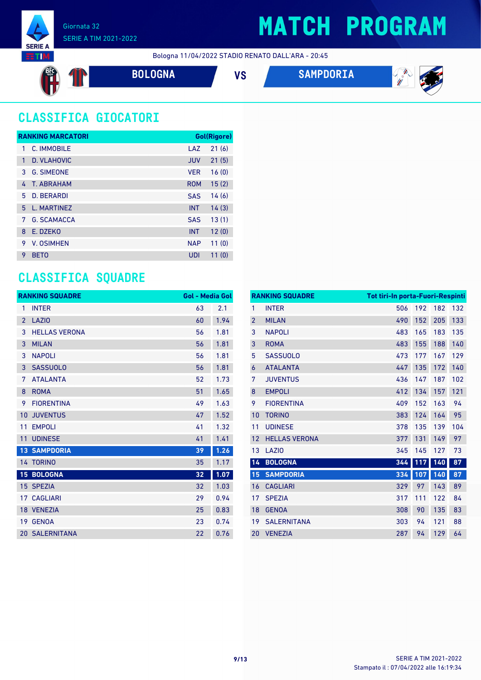

### SERIE A TIM 2021-2022

## **MATCH PROGRAM**

Bologna 11/04/2022 STADIO RENATO DALL'ARA - 20:45

$$
\begin{pmatrix}\n\frac{\partial f}{\partial x} \\
\frac{\partial f}{\partial y}\n\end{pmatrix}
$$

**BOLOGNA VS SAMPDORIA**



 $\mathscr{L}_{\mathscr{U}}$ 

### **CLASSIFICA GIOCATORI**

|   | <b>RANKING MARCATORI</b> |            | <b>Gol(Rigore)</b> |
|---|--------------------------|------------|--------------------|
| 1 | C. IMMOBILE              | LAZ        | 21(6)              |
| 1 | D. VLAHOVIC              | <b>JUV</b> | 21(5)              |
| 3 | <b>G. SIMEONE</b>        | <b>VFR</b> | 16(0)              |
| 4 | T. ABRAHAM               | <b>ROM</b> | 15(2)              |
| 5 | <b>D. BERARDI</b>        | <b>SAS</b> | 14(6)              |
| 5 | L. MARTINEZ              | <b>INT</b> | 14(3)              |
| 7 | <b>G. SCAMACCA</b>       | <b>SAS</b> | 13(1)              |
| 8 | F. DZFKO                 | <b>INT</b> | 12(0)              |
| 9 | V. OSIMHEN               | <b>NAP</b> | 11(0)              |
| 9 | <b>BETO</b>              | UDI        | 11(0)              |

### **CLASSIFICA SQUADRE**

|                | <b>RANKING SQUADRE</b> | <b>Gol - Media Gol</b> |      |
|----------------|------------------------|------------------------|------|
| 1              | <b>INTER</b>           | 63                     | 2.1  |
| $\overline{2}$ | <b>LAZIO</b>           | 60                     | 1.94 |
| 3              | <b>HELLAS VERONA</b>   | 56                     | 1.81 |
| 3              | <b>MILAN</b>           | 56                     | 1.81 |
| 3              | <b>NAPOLI</b>          | 56                     | 1.81 |
| 3              | <b>SASSUOLO</b>        | 56                     | 1.81 |
| 7              | <b>ATALANTA</b>        | 52                     | 1.73 |
| 8              | <b>ROMA</b>            | 51                     | 1.65 |
| 9              | <b>FIORENTINA</b>      | 49                     | 1.63 |
| 10             | <b>JUVENTUS</b>        | 47                     | 1.52 |
| 11             | <b>EMPOLI</b>          | 41                     | 1.32 |
| 11             | <b>UDINESE</b>         | 41                     | 1.41 |
|                | <b>13 SAMPDORIA</b>    | 39                     | 1.26 |
|                | 14 TORINO              | 35                     | 1.17 |
| 15             | <b>BOLOGNA</b>         | 32                     | 1.07 |
| 15             | <b>SPEZIA</b>          | 32                     | 1.03 |
| 17             | <b>CAGLIARI</b>        | 29                     | 0.94 |
|                | 18 VENEZIA             | 25                     | 0.83 |
|                | 19 GENOA               | 23                     | 0.74 |
|                | <b>20 SALERNITANA</b>  | 22                     | 0.76 |

|                | <b>RANKING SQUADRE</b> | Tot tiri-In porta-Fuori-Respinti |     |     |     |
|----------------|------------------------|----------------------------------|-----|-----|-----|
| 1              | <b>INTER</b>           | 506                              | 192 | 182 | 132 |
| $\overline{2}$ | <b>MILAN</b>           | 490                              | 152 | 205 | 133 |
| 3              | <b>NAPOLI</b>          | 483                              | 165 | 183 | 135 |
| 3              | <b>ROMA</b>            | 483                              | 155 | 188 | 140 |
| 5              | <b>SASSUOLO</b>        | 473                              | 177 | 167 | 129 |
| 6              | <b>ATALANTA</b>        | 447                              | 135 | 172 | 140 |
| 7              | <b>JUVENTUS</b>        | 436                              | 147 | 187 | 102 |
| 8              | <b>EMPOLI</b>          | 412                              | 134 | 157 | 121 |
| 9              | <b>FIORENTINA</b>      | 409                              | 152 | 163 | 94  |
| 10             | <b>TORINO</b>          | 383                              | 124 | 164 | 95  |
| 11             | <b>UDINESE</b>         | 378                              | 135 | 139 | 104 |
| 12             | <b>HELLAS VERONA</b>   | 377                              | 131 | 149 | 97  |
| 13             | LAZI <sub>0</sub>      | 345                              | 145 | 127 | 73  |
| 14             | <b>BOLOGNA</b>         | 344                              | 117 | 140 | 87  |
| 15             | <b>SAMPDORIA</b>       | 334                              | 107 | 140 | 87  |
| 16             | <b>CAGLIARI</b>        | 329                              | 97  | 143 | 89  |
| 17             | <b>SPEZIA</b>          | 317                              | 111 | 122 | 84  |
| 18             | <b>GENOA</b>           | 308                              | 90  | 135 | 83  |
| 19             | <b>SALERNITANA</b>     | 303                              | 94  | 121 | 88  |
| 20             | <b>VENEZIA</b>         | 287                              | 94  | 129 | 64  |
|                |                        |                                  |     |     |     |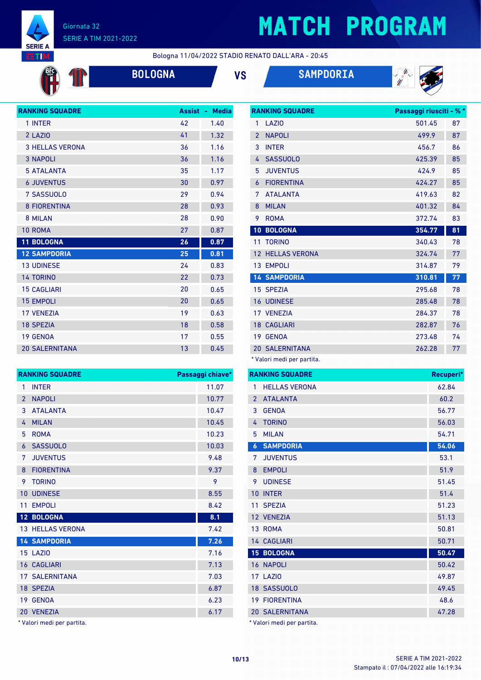

**BFC** 

 $\mathbf{T}$ 

#### Giornata 32 SERIE A TIM 2021-2022

## **MATCH PROGRAM**

Bologna 11/04/2022 STADIO RENATO DALL'ARA - 20:45





| <b>RANKING SQUADRE</b> | <b>Assist</b> | <b>Media</b><br>÷, |
|------------------------|---------------|--------------------|
| 1 INTER                | 42            | 1.40               |
| 2 LAZIO                | 41            | 1.32               |
| <b>3 HELLAS VERONA</b> | 36            | 1.16               |
| <b>3 NAPOLI</b>        | 36            | 1.16               |
| <b>5 ATALANTA</b>      | 35            | 1.17               |
| <b>6 JUVENTUS</b>      | 30            | 0.97               |
| 7 SASSUOLO             | 29            | 0.94               |
| <b>8 FIORENTINA</b>    | 28            | 0.93               |
| 8 MILAN                | 28            | 0.90               |
| 10 ROMA                | 27            | 0.87               |
| <b>11 BOLOGNA</b>      | 26            | 0.87               |
| <b>12 SAMPDORIA</b>    | 25            | 0.81               |
| <b>13 UDINESE</b>      | 24            | 0.83               |
| <b>14 TORINO</b>       | 22            | 0.73               |
| <b>15 CAGLIARI</b>     | 20            | 0.65               |
| <b>15 EMPOLI</b>       | 20            | 0.65               |
| <b>17 VFNF7IA</b>      | 19            | 0.63               |
| <b>18 SPEZIA</b>       | 18            | 0.58               |
| <b>19 GENOA</b>        | 17            | 0.55               |
| <b>20 SALERNITANA</b>  | 13            | 0.45               |

|                | <b>RANKING SQUADRE</b> | Passaggi riusciti - % * |    |
|----------------|------------------------|-------------------------|----|
| 1              | LAZI <sub>0</sub>      | 501.45                  | 87 |
| $\overline{2}$ | <b>NAPOLI</b>          | 499.9                   | 87 |
| 3              | <b>INTER</b>           | 456.7                   | 86 |
| 4              | <b>SASSUOLO</b>        | 425.39                  | 85 |
| 5              | <b>JUVENTUS</b>        | 424.9                   | 85 |
| 6              | <b>FIORENTINA</b>      | 424.27                  | 85 |
| 7              | <b>ATAI ANTA</b>       | 419.63                  | 82 |
| 8              | <b>MILAN</b>           | 401.32                  | 84 |
| 9              | <b>ROMA</b>            | 372.74                  | 83 |
| 10             | <b>BOLOGNA</b>         | 354.77                  | 81 |
| 11             | <b>TORINO</b>          | 340.43                  | 78 |
| 12             | <b>HELLAS VERONA</b>   | 324.74                  | 77 |
|                | 13 EMPOLI              | 314.87                  | 79 |
|                | <b>14 SAMPDORIA</b>    | 310.81                  | 77 |
|                | 15 SPEZIA              | 295.68                  | 78 |
|                | <b>16 UDINESE</b>      | 285.48                  | 78 |
|                | 17 VENEZIA             | 284.37                  | 78 |
|                | <b>18 CAGLIARI</b>     | 282.87                  | 76 |
| 19             | <b>GENOA</b>           | 273.48                  | 74 |
|                | <b>20 SALERNITANA</b>  | 262.28                  | 77 |
|                |                        |                         |    |

\* Valori medi per partita.

|                | <b>RANKING SQUADRE</b> | Recuperi* |
|----------------|------------------------|-----------|
| 1              | <b>HELLAS VERONA</b>   | 62.84     |
| $\overline{2}$ | <b>ATALANTA</b>        | 60.2      |
| 3              | <b>GENOA</b>           | 56.77     |
| 4              | <b>TORINO</b>          | 56.03     |
| 5              | <b>MILAN</b>           | 54.71     |
| 6              | <b>SAMPDORIA</b>       | 54.06     |
| 7              | <b>JUVENTUS</b>        | 53.1      |
| 8              | <b>EMPOLI</b>          | 51.9      |
| 9              | <b>UDINESE</b>         | 51.45     |
| 10             | <b>INTER</b>           | 51.4      |
| 11             | SPF7IA                 | 51.23     |
|                | 12 VENEZIA             | 51.13     |
|                | 13 ROMA                | 50.81     |
|                | <b>14 CAGLIARI</b>     | 50.71     |
|                | 15 BOLOGNA             | 50.47     |
|                | 16 NAPOLI              | 50.42     |
|                | <b>17 LAZIO</b>        | 49.87     |
|                | 18 SASSUOLO            | 49.45     |
| 19             | <b>FIORENTINA</b>      | 48.6      |
|                | <b>20 SALERNITANA</b>  | 47.28     |
|                |                        |           |

\* Valori medi per partita.

|                | <b>RANKING SQUADRE</b>  | Passaggi chiave* |
|----------------|-------------------------|------------------|
| 1              | <b>INTER</b>            | 11.07            |
| $\overline{2}$ | <b>NAPOLI</b>           | 10.77            |
| 3              | <b>ATALANTA</b>         | 10.47            |
| 4              | <b>MILAN</b>            | 10.45            |
| 5              | <b>ROMA</b>             | 10.23            |
| 6              | <b>SASSUOLO</b>         | 10.03            |
| 7 <sup>1</sup> | <b>JUVENTUS</b>         | 9.48             |
| 8              | <b>FIORENTINA</b>       | 9.37             |
| 9              | <b>TORINO</b>           | 9                |
| 10             | <b>UDINESE</b>          | 8.55             |
|                |                         |                  |
| 11             | <b>EMPOLI</b>           | 8.42             |
|                | 12 BOLOGNA              | 8.1              |
|                | <b>13 HELLAS VERONA</b> | 7.42             |
|                | <b>14 SAMPDORIA</b>     | 7.26             |
|                | <b>15 LAZIO</b>         | 7.16             |
|                | <b>16 CAGLIARI</b>      | 7.13             |
|                | <b>17 SALERNITANA</b>   | 7.03             |
|                | 18 SPEZIA               | 6.87             |
| 19             | <b>GENOA</b>            | 6.23             |

\* Valori medi per partita.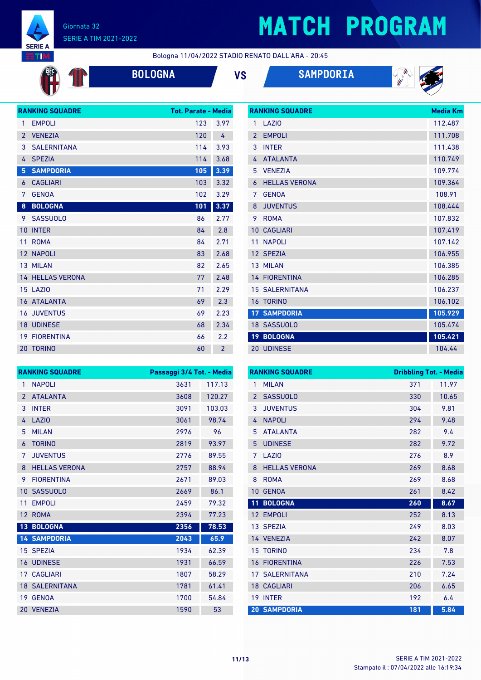

**OD** 

#### Giornata 32 SERIE A TIM 2021-2022

# **MATCH PROGRAM**

Bologna 11/04/2022 STADIO RENATO DALL'ARA - 20:45

| <b>BOLOGN</b> |  |
|---------------|--|
|---------------|--|

**BOLOGNA VS SAMPDORIA**





|                | <b>RANKING SQUADRE</b>  | <b>Tot. Parate - Media</b> |                |
|----------------|-------------------------|----------------------------|----------------|
| 1              | <b>EMPOLI</b>           | 123                        | 3.97           |
| $\overline{2}$ | <b>VENEZIA</b>          | 120                        | 4              |
| 3              | <b>SALERNITANA</b>      | 114                        | 3.93           |
| 4              | <b>SPEZIA</b>           | 114                        | 3.68           |
| 5              | <b>SAMPDORIA</b>        | 105                        | 3.39           |
| 6              | <b>CAGLIARI</b>         | 103                        | 3.32           |
| 7              | <b>GENOA</b>            | 102                        | 3.29           |
| 8              | <b>BOLOGNA</b>          | 101                        | 3.37           |
| 9              | <b>SASSUOLO</b>         | 86                         | 2.77           |
| 10             | <b>INTER</b>            | 84                         | 2.8            |
| 11             | <b>ROMA</b>             | 84                         | 2.71           |
|                | 12 NAPOLI               | 83                         | 2.68           |
|                | 13 MILAN                | 82                         | 2.65           |
|                | <b>14 HELLAS VERONA</b> | 77                         | 2.48           |
|                | 15 LAZIO                | 71                         | 2.29           |
|                | 16 ATALANTA             | 69                         | 2.3            |
|                | <b>16 JUVENTUS</b>      | 69                         | 2.23           |
|                | <b>18 UDINESE</b>       | 68                         | 2.34           |
|                | <b>19 FIORENTINA</b>    | 66                         | 2.2            |
|                | 20 TORINO               | 60                         | $\overline{2}$ |

|                 | <b>RANKING SQUADRE</b> | <b>Media Km</b> |
|-----------------|------------------------|-----------------|
| 1               | LAZIO                  | 112.487         |
| $\overline{2}$  | <b>EMPOLI</b>          | 111.708         |
| 3               | <b>INTER</b>           | 111.438         |
| 4               | <b>ATAI ANTA</b>       | 110.749         |
| 5               | <b>VENEZIA</b>         | 109.774         |
| 6               | <b>HELLAS VERONA</b>   | 109.364         |
| 7               | <b>GENOA</b>           | 108.91          |
| 8               | <b>JUVENTUS</b>        | 108.444         |
| 9               | <b>ROMA</b>            | 107.832         |
| 10              | <b>CAGLIARI</b>        | 107.419         |
| 11              | <b>NAPOLI</b>          | 107.142         |
| 12 <sup>°</sup> | <b>SPEZIA</b>          | 106.955         |
|                 | 13 MILAN               | 106.385         |
|                 | <b>14 FIORENTINA</b>   | 106.285         |
|                 | <b>15 SALERNITANA</b>  | 106.237         |
|                 | <b>16 TORINO</b>       | 106.102         |
| 17              | <b>SAMPDORIA</b>       | 105.929         |
|                 | 18 SASSUOLO            | 105.474         |
| 19              | <b>BOLOGNA</b>         | 105.421         |
|                 | <b>20 UDINESE</b>      | 104.44          |

|                 | <b>RANKING SQUADRE</b> | Passaggi 3/4 Tot. - Media |        |
|-----------------|------------------------|---------------------------|--------|
| 1               | <b>NAPOLI</b>          | 3631                      | 117.13 |
| $\mathcal{P}$   | <b>ATALANTA</b>        | 3608                      | 120.27 |
| 3               | <b>INTER</b>           | 3091                      | 103.03 |
| 4               | <b>LAZIO</b>           | 3061                      | 98.74  |
| 5               | <b>MILAN</b>           | 2976                      | 96     |
| 6               | <b>TORINO</b>          | 2819                      | 93.97  |
| 7               | <b>JUVENTUS</b>        | 2776                      | 89.55  |
| 8               | <b>HELLAS VERONA</b>   | 2757                      | 88.94  |
| 9               | <b>FIORENTINA</b>      | 2671                      | 89.03  |
| 10              | <b>SASSUOLO</b>        | 2669                      | 86.1   |
| 11              | <b>EMPOLI</b>          | 2459                      | 79.32  |
| 12              | <b>ROMA</b>            | 2394                      | 77.23  |
| 13 <sup>°</sup> | <b>BOLOGNA</b>         | 2356                      | 78.53  |
|                 | <b>14 SAMPDORIA</b>    | 2043                      | 65.9   |
|                 | 15 SPEZIA              | 1934                      | 62.39  |
| 16              | <b>UDINESE</b>         | 1931                      | 66.59  |
|                 | <b>17 CAGLIARI</b>     | 1807                      | 58.29  |
|                 | <b>18 SALERNITANA</b>  | 1781                      | 61.41  |
| 19              | <b>GENOA</b>           | 1700                      | 54.84  |
|                 | 20 VENEZIA             | 1590                      | 53     |

|                   | <b>RANKING SQUADRE</b> | <b>Dribbling Tot. - Media</b> |       |
|-------------------|------------------------|-------------------------------|-------|
| 1                 | <b>MILAN</b>           | 371                           | 11.97 |
| $\overline{2}$    | <b>SASSUOLO</b>        | 330                           | 10.65 |
| 3                 | <b>JUVENTUS</b>        | 304                           | 9.81  |
| 4                 | <b>NAPOLI</b>          | 294                           | 9.48  |
| 5                 | <b>ATALANTA</b>        | 282                           | 9.4   |
| 5                 | <b>UDINESE</b>         | 282                           | 9.72  |
| 7                 | LAZI <sub>0</sub>      | 276                           | 8.9   |
| 8                 | <b>HELLAS VERONA</b>   | 269                           | 8.68  |
| 8                 | <b>ROMA</b>            | 269                           | 8.68  |
| 10                | <b>GENOA</b>           | 261                           | 8.42  |
| 11                | <b>BOLOGNA</b>         | 260                           | 8.67  |
| $12 \overline{ }$ | <b>EMPOLI</b>          | 252                           | 8.13  |
|                   | 13 SPEZIA              | 249                           | 8.03  |
|                   | 14 VENEZIA             | 242                           | 8.07  |
|                   | <b>15 TORINO</b>       | 234                           | 7.8   |
| 16                | <b>FIORENTINA</b>      | 226                           | 7.53  |
|                   | <b>17 SALERNITANA</b>  | 210                           | 7.24  |
|                   | <b>18 CAGLIARI</b>     | 206                           | 6.65  |
| 19                | <b>INTER</b>           | 192                           | 6.4   |
|                   | <b>20 SAMPDORIA</b>    | 181                           | 5.84  |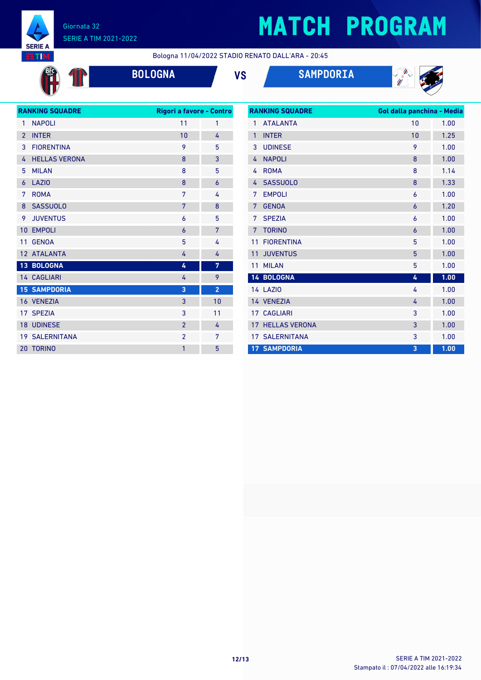

OD

#### Giornata 32 SERIE A TIM 2021-2022

# **MATCH PROGRAM**

Bologna 11/04/2022 STADIO RENATO DALL'ARA - 20:45

**BOLOGNA VS SAMPDORIA**



| <b>RANKING SQUADRE</b> |                       | Rigori a favore - Contro |                |  |
|------------------------|-----------------------|--------------------------|----------------|--|
| 1                      | <b>NAPOLI</b>         | 11                       | 1              |  |
| $\overline{2}$         | <b>INTER</b>          | 10                       | 4              |  |
| 3                      | <b>FIORENTINA</b>     | 9                        | 5              |  |
| 4                      | <b>HELLAS VERONA</b>  | 8                        | 3              |  |
| 5                      | <b>MILAN</b>          | 8                        | 5              |  |
| $\overline{6}$         | <b>LAZIO</b>          | 8                        | 6              |  |
| 7                      | <b>ROMA</b>           | 7                        | 4              |  |
| 8                      | <b>SASSUOLO</b>       | 7                        | 8              |  |
| 9                      | <b>JUVENTUS</b>       | 6                        | 5              |  |
| 10                     | <b>EMPOLI</b>         | $\overline{6}$           | 7              |  |
| 11                     | <b>GENOA</b>          | 5                        | 4              |  |
|                        | 12 ATALANTA           | 4                        | 4              |  |
|                        | 13 BOLOGNA            | 4                        | 7              |  |
|                        | 14 CAGLIARI           | 4                        | 9              |  |
|                        | <b>15 SAMPDORIA</b>   | 3                        | $\overline{2}$ |  |
|                        | 16 VENEZIA            | 3                        | 10             |  |
|                        | 17 SPEZIA             | 3                        | 11             |  |
|                        | 18 UDINESE            | $\overline{2}$           | 4              |  |
|                        | <b>19 SALERNITANA</b> | $\overline{2}$           | 7              |  |
|                        | 20 TORINO             | 1                        | 5              |  |
|                        |                       |                          |                |  |

| <b>RANKING SQUADRE</b> |                       | Gol dalla panchina - Media |      |  |
|------------------------|-----------------------|----------------------------|------|--|
| 1                      | <b>ATALANTA</b>       | 10                         | 1.00 |  |
| $\mathbf{1}$           | <b>INTER</b>          | 10                         | 1.25 |  |
| 3                      | <b>UDINESE</b>        | 9                          | 1.00 |  |
| 4                      | <b>NAPOLI</b>         | 8                          | 1.00 |  |
| 4                      | <b>ROMA</b>           | 8                          | 1.14 |  |
| 4                      | <b>SASSUOLO</b>       | 8                          | 1.33 |  |
| 7                      | <b>EMPOLI</b>         | 6                          | 1.00 |  |
| 7                      | <b>GENOA</b>          | 6                          | 1.20 |  |
| 7                      | <b>SPEZIA</b>         | 6                          | 1.00 |  |
| 7                      | <b>TORINO</b>         | 6                          | 1.00 |  |
| 11                     | <b>FIORENTINA</b>     | 5                          | 1.00 |  |
| 11                     | <b>JUVENTUS</b>       | 5                          | 1.00 |  |
| 11                     | <b>MILAN</b>          | 5                          | 1.00 |  |
|                        | 14 BOLOGNA            | 4                          | 1.00 |  |
|                        | <b>14 LAZIO</b>       | 4                          | 1.00 |  |
|                        | 14 VENEZIA            | 4                          | 1.00 |  |
| 17                     | <b>CAGLIARI</b>       | 3                          | 1.00 |  |
| 17                     | <b>HELLAS VERONA</b>  | 3                          | 1.00 |  |
|                        | <b>17 SALERNITANA</b> | 3                          | 1.00 |  |
|                        | <b>17 SAMPDORIA</b>   | 3                          | 1.00 |  |